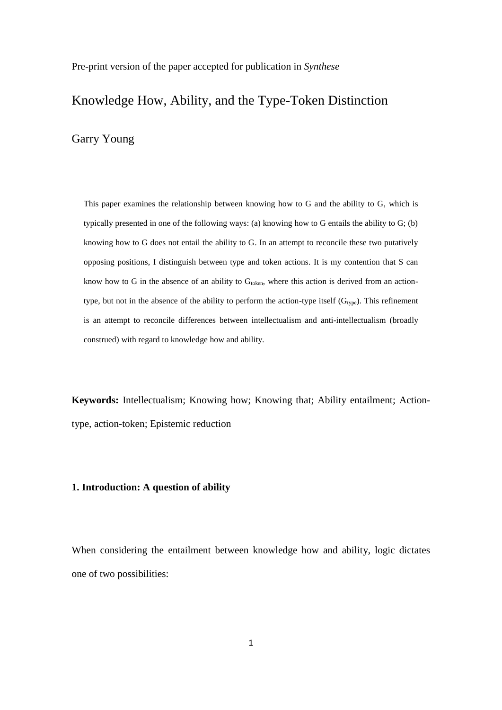Pre-print version of the paper accepted for publication in *Synthese*

# Knowledge How, Ability, and the Type-Token Distinction

Garry Young

This paper examines the relationship between knowing how to G and the ability to G, which is typically presented in one of the following ways: (a) knowing how to G entails the ability to G; (b) knowing how to G does not entail the ability to G. In an attempt to reconcile these two putatively opposing positions, I distinguish between type and token actions. It is my contention that S can know how to G in the absence of an ability to  $G_{\text{token}}$ , where this action is derived from an actiontype, but not in the absence of the ability to perform the action-type itself  $(G_{type})$ . This refinement is an attempt to reconcile differences between intellectualism and anti-intellectualism (broadly construed) with regard to knowledge how and ability.

**Keywords:** Intellectualism; Knowing how; Knowing that; Ability entailment; Actiontype, action-token; Epistemic reduction

## **1. Introduction: A question of ability**

When considering the entailment between knowledge how and ability, logic dictates one of two possibilities: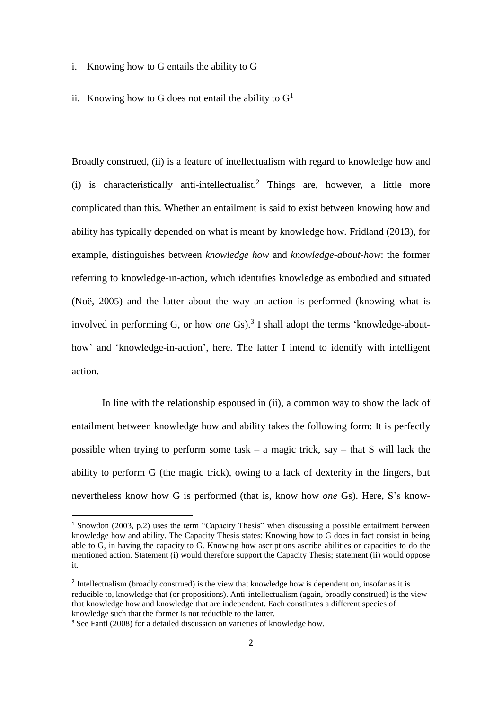- i. Knowing how to G entails the ability to G
- ii. Knowing how to G does not entail the ability to  $G<sup>1</sup>$

Broadly construed, (ii) is a feature of intellectualism with regard to knowledge how and (i) is characteristically anti-intellectualist. <sup>2</sup> Things are, however, a little more complicated than this. Whether an entailment is said to exist between knowing how and ability has typically depended on what is meant by knowledge how. Fridland (2013), for example, distinguishes between *knowledge how* and *knowledge-about-how*: the former referring to knowledge-in-action, which identifies knowledge as embodied and situated (Noë, 2005) and the latter about the way an action is performed (knowing what is involved in performing G, or how *one* Gs). 3 I shall adopt the terms 'knowledge-abouthow' and 'knowledge-in-action', here. The latter I intend to identify with intelligent action.

In line with the relationship espoused in (ii), a common way to show the lack of entailment between knowledge how and ability takes the following form: It is perfectly possible when trying to perform some task – a magic trick, say – that S will lack the ability to perform G (the magic trick), owing to a lack of dexterity in the fingers, but nevertheless know how G is performed (that is, know how *one* Gs). Here, S's know-

1

<sup>1</sup> Snowdon (2003, p.2) uses the term "Capacity Thesis" when discussing a possible entailment between knowledge how and ability. The Capacity Thesis states: Knowing how to G does in fact consist in being able to G, in having the capacity to G. Knowing how ascriptions ascribe abilities or capacities to do the mentioned action. Statement (i) would therefore support the Capacity Thesis; statement (ii) would oppose it.

<sup>&</sup>lt;sup>2</sup> Intellectualism (broadly construed) is the view that knowledge how is dependent on, insofar as it is reducible to, knowledge that (or propositions). Anti-intellectualism (again, broadly construed) is the view that knowledge how and knowledge that are independent. Each constitutes a different species of knowledge such that the former is not reducible to the latter.

<sup>&</sup>lt;sup>3</sup> See Fantl (2008) for a detailed discussion on varieties of knowledge how.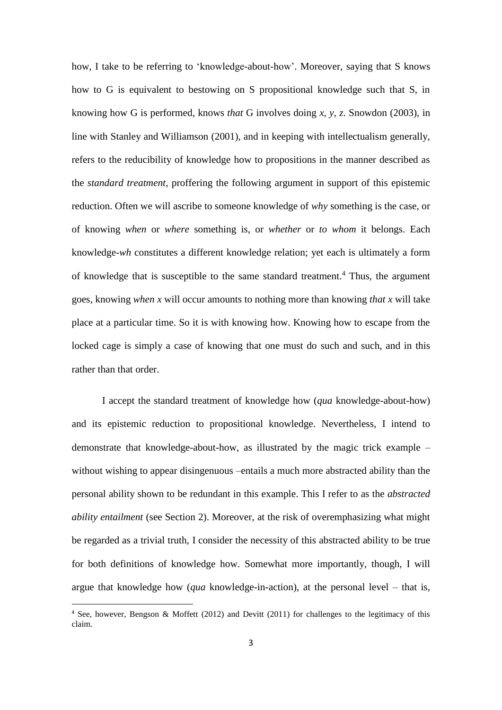how, I take to be referring to 'knowledge-about-how'. Moreover, saying that S knows how to G is equivalent to bestowing on S propositional knowledge such that S, in knowing how G is performed, knows *that* G involves doing *x*, *y*, *z*. Snowdon (2003), in line with Stanley and Williamson (2001), and in keeping with intellectualism generally, refers to the reducibility of knowledge how to propositions in the manner described as the *standard treatment*, proffering the following argument in support of this epistemic reduction. Often we will ascribe to someone knowledge of *why* something is the case, or of knowing *when* or *where* something is, or *whether* or *to whom* it belongs. Each knowledge-*wh* constitutes a different knowledge relation; yet each is ultimately a form of knowledge that is susceptible to the same standard treatment. <sup>4</sup> Thus, the argument goes, knowing *when x* will occur amounts to nothing more than knowing *that x* will take place at a particular time. So it is with knowing how. Knowing how to escape from the locked cage is simply a case of knowing that one must do such and such, and in this rather than that order.

I accept the standard treatment of knowledge how (*qua* knowledge-about-how) and its epistemic reduction to propositional knowledge. Nevertheless, I intend to demonstrate that knowledge-about-how, as illustrated by the magic trick example – without wishing to appear disingenuous –entails a much more abstracted ability than the personal ability shown to be redundant in this example. This I refer to as the *abstracted ability entailment* (see Section 2). Moreover, at the risk of overemphasizing what might be regarded as a trivial truth, I consider the necessity of this abstracted ability to be true for both definitions of knowledge how. Somewhat more importantly, though, I will argue that knowledge how (*qua* knowledge-in-action), at the personal level – that is,

1

<sup>4</sup> See, however, Bengson & Moffett (2012) and Devitt (2011) for challenges to the legitimacy of this claim.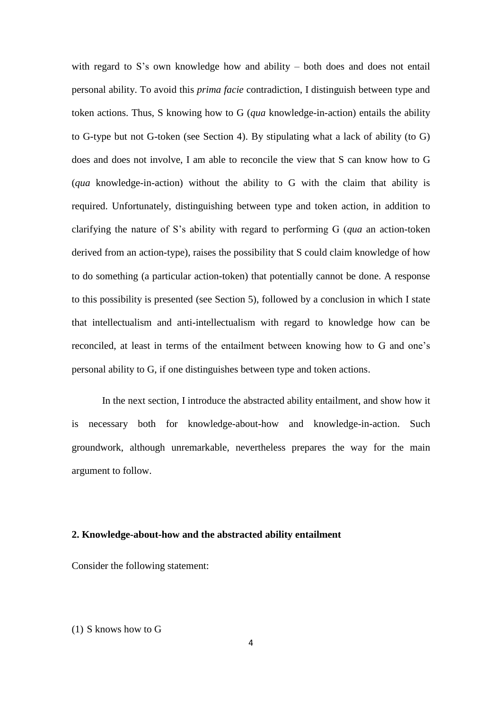with regard to S's own knowledge how and ability – both does and does not entail personal ability. To avoid this *prima facie* contradiction, I distinguish between type and token actions. Thus, S knowing how to G (*qua* knowledge-in-action) entails the ability to G-type but not G-token (see Section 4). By stipulating what a lack of ability (to G) does and does not involve, I am able to reconcile the view that S can know how to G (*qua* knowledge-in-action) without the ability to G with the claim that ability is required. Unfortunately, distinguishing between type and token action, in addition to clarifying the nature of S's ability with regard to performing G (*qua* an action-token derived from an action-type), raises the possibility that S could claim knowledge of how to do something (a particular action-token) that potentially cannot be done. A response to this possibility is presented (see Section 5), followed by a conclusion in which I state that intellectualism and anti-intellectualism with regard to knowledge how can be reconciled, at least in terms of the entailment between knowing how to G and one's personal ability to G, if one distinguishes between type and token actions.

In the next section, I introduce the abstracted ability entailment, and show how it is necessary both for knowledge-about-how and knowledge-in-action. Such groundwork, although unremarkable, nevertheless prepares the way for the main argument to follow.

#### **2. Knowledge-about-how and the abstracted ability entailment**

Consider the following statement:

#### (1) S knows how to G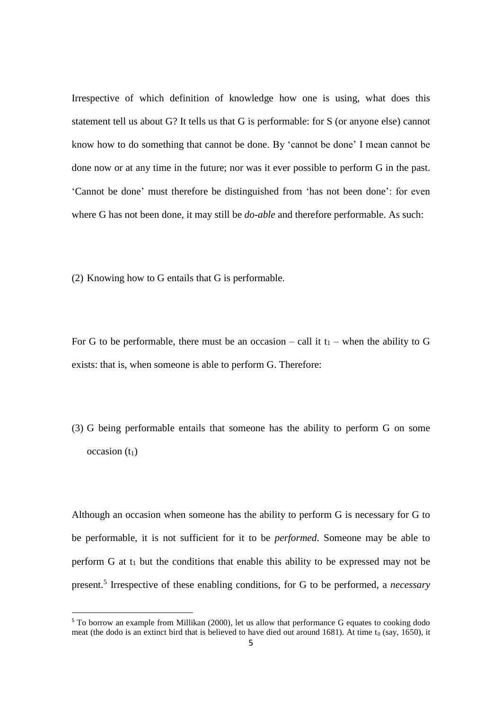Irrespective of which definition of knowledge how one is using, what does this statement tell us about G? It tells us that G is performable: for S (or anyone else) cannot know how to do something that cannot be done. By 'cannot be done' I mean cannot be done now or at any time in the future; nor was it ever possible to perform G in the past. 'Cannot be done' must therefore be distinguished from 'has not been done': for even where G has not been done, it may still be *do-able* and therefore performable. As such:

(2) Knowing how to G entails that G is performable.

**.** 

For G to be performable, there must be an occasion – call it  $t_1$  – when the ability to G exists: that is, when someone is able to perform G. Therefore:

(3) G being performable entails that someone has the ability to perform G on some  $occasion(t_1)$ 

Although an occasion when someone has the ability to perform G is necessary for G to be performable, it is not sufficient for it to be *performed*. Someone may be able to perform  $G$  at  $t_1$  but the conditions that enable this ability to be expressed may not be present. 5 Irrespective of these enabling conditions, for G to be performed, a *necessary*

<sup>&</sup>lt;sup>5</sup> To borrow an example from Millikan (2000), let us allow that performance G equates to cooking dodo meat (the dodo is an extinct bird that is believed to have died out around 1681). At time  $t_0$  (say, 1650), it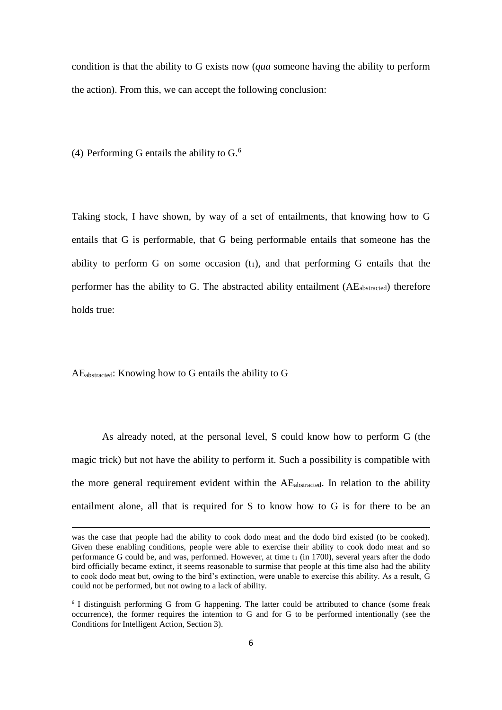condition is that the ability to G exists now (*qua* someone having the ability to perform the action). From this, we can accept the following conclusion:

(4) Performing G entails the ability to  $G$ .<sup>6</sup>

Taking stock, I have shown, by way of a set of entailments, that knowing how to G entails that G is performable, that G being performable entails that someone has the ability to perform G on some occasion  $(t_1)$ , and that performing G entails that the performer has the ability to G. The abstracted ability entailment (AEabstracted) therefore holds true:

AEabstracted: Knowing how to G entails the ability to G

**.** 

As already noted, at the personal level, S could know how to perform G (the magic trick) but not have the ability to perform it. Such a possibility is compatible with the more general requirement evident within the AEabstracted. In relation to the ability entailment alone, all that is required for S to know how to G is for there to be an

was the case that people had the ability to cook dodo meat and the dodo bird existed (to be cooked). Given these enabling conditions, people were able to exercise their ability to cook dodo meat and so performance G could be, and was, performed. However, at time  $t_1$  (in 1700), several years after the dodo bird officially became extinct, it seems reasonable to surmise that people at this time also had the ability to cook dodo meat but, owing to the bird's extinction, were unable to exercise this ability. As a result, G could not be performed, but not owing to a lack of ability.

<sup>&</sup>lt;sup>6</sup> I distinguish performing G from G happening. The latter could be attributed to chance (some freak occurrence), the former requires the intention to G and for G to be performed intentionally (see the Conditions for Intelligent Action, Section 3).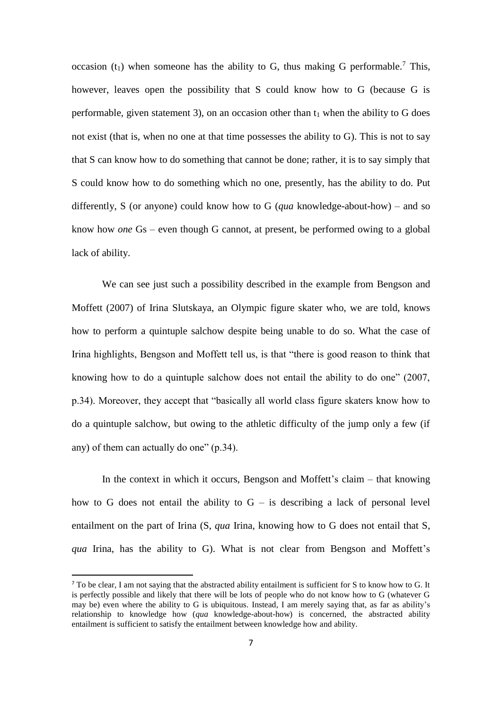occasion  $(t_1)$  when someone has the ability to G, thus making G performable.<sup>7</sup> This, however, leaves open the possibility that S could know how to G (because G is performable, given statement 3), on an occasion other than  $t_1$  when the ability to G does not exist (that is, when no one at that time possesses the ability to G). This is not to say that S can know how to do something that cannot be done; rather, it is to say simply that S could know how to do something which no one, presently, has the ability to do. Put differently, S (or anyone) could know how to G (*qua* knowledge-about-how) – and so know how *one* Gs – even though G cannot, at present, be performed owing to a global lack of ability.

We can see just such a possibility described in the example from Bengson and Moffett (2007) of Irina Slutskaya, an Olympic figure skater who, we are told, knows how to perform a quintuple salchow despite being unable to do so. What the case of Irina highlights, Bengson and Moffett tell us, is that "there is good reason to think that knowing how to do a quintuple salchow does not entail the ability to do one" (2007, p.34). Moreover, they accept that "basically all world class figure skaters know how to do a quintuple salchow, but owing to the athletic difficulty of the jump only a few (if any) of them can actually do one" (p.34).

In the context in which it occurs, Bengson and Moffett's claim – that knowing how to G does not entail the ability to  $G -$  is describing a lack of personal level entailment on the part of Irina (S, *qua* Irina, knowing how to G does not entail that S, *qua* Irina, has the ability to G). What is not clear from Bengson and Moffett's

1

<sup>&</sup>lt;sup>7</sup> To be clear, I am not saying that the abstracted ability entailment is sufficient for S to know how to G. It is perfectly possible and likely that there will be lots of people who do not know how to G (whatever G may be) even where the ability to G is ubiquitous. Instead, I am merely saying that, as far as ability's relationship to knowledge how (*qua* knowledge-about-how) is concerned, the abstracted ability entailment is sufficient to satisfy the entailment between knowledge how and ability.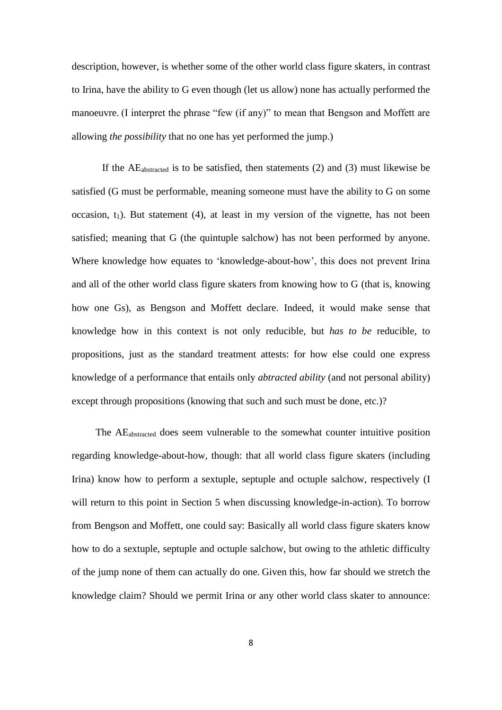description, however, is whether some of the other world class figure skaters, in contrast to Irina, have the ability to G even though (let us allow) none has actually performed the manoeuvre. (I interpret the phrase "few (if any)" to mean that Bengson and Moffett are allowing *the possibility* that no one has yet performed the jump.)

If the  $AE<sub>abstracted</sub>$  is to be satisfied, then statements (2) and (3) must likewise be satisfied (G must be performable, meaning someone must have the ability to G on some occasion,  $t_1$ ). But statement (4), at least in my version of the vignette, has not been satisfied; meaning that G (the quintuple salchow) has not been performed by anyone. Where knowledge how equates to 'knowledge-about-how', this does not prevent Irina and all of the other world class figure skaters from knowing how to G (that is, knowing how one Gs), as Bengson and Moffett declare. Indeed, it would make sense that knowledge how in this context is not only reducible, but *has to be* reducible, to propositions, just as the standard treatment attests: for how else could one express knowledge of a performance that entails only *abtracted ability* (and not personal ability) except through propositions (knowing that such and such must be done, etc.)?

The AEabstracted does seem vulnerable to the somewhat counter intuitive position regarding knowledge-about-how, though: that all world class figure skaters (including Irina) know how to perform a sextuple, septuple and octuple salchow, respectively (I will return to this point in Section 5 when discussing knowledge-in-action). To borrow from Bengson and Moffett, one could say: Basically all world class figure skaters know how to do a sextuple, septuple and octuple salchow, but owing to the athletic difficulty of the jump none of them can actually do one. Given this, how far should we stretch the knowledge claim? Should we permit Irina or any other world class skater to announce: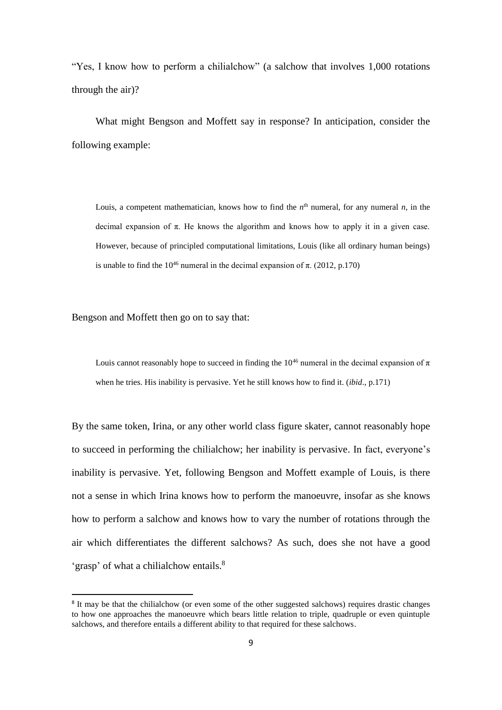"Yes, I know how to perform a chilialchow" (a salchow that involves 1,000 rotations through the air)?

What might Bengson and Moffett say in response? In anticipation, consider the following example:

Louis, a competent mathematician, knows how to find the  $n^{\text{th}}$  numeral, for any numeral  $n$ , in the decimal expansion of  $\pi$ . He knows the algorithm and knows how to apply it in a given case. However, because of principled computational limitations, Louis (like all ordinary human beings) is unable to find the  $10^{46}$  numeral in the decimal expansion of  $\pi$ . (2012, p.170)

Bengson and Moffett then go on to say that:

**.** 

Louis cannot reasonably hope to succeed in finding the  $10^{46}$  numeral in the decimal expansion of  $\pi$ when he tries. His inability is pervasive. Yet he still knows how to find it. (*ibid*., p.171)

By the same token, Irina, or any other world class figure skater, cannot reasonably hope to succeed in performing the chilialchow; her inability is pervasive. In fact, everyone's inability is pervasive. Yet, following Bengson and Moffett example of Louis, is there not a sense in which Irina knows how to perform the manoeuvre, insofar as she knows how to perform a salchow and knows how to vary the number of rotations through the air which differentiates the different salchows? As such, does she not have a good 'grasp' of what a chilialchow entails.<sup>8</sup>

<sup>&</sup>lt;sup>8</sup> It may be that the chilialchow (or even some of the other suggested salchows) requires drastic changes to how one approaches the manoeuvre which bears little relation to triple, quadruple or even quintuple salchows, and therefore entails a different ability to that required for these salchows.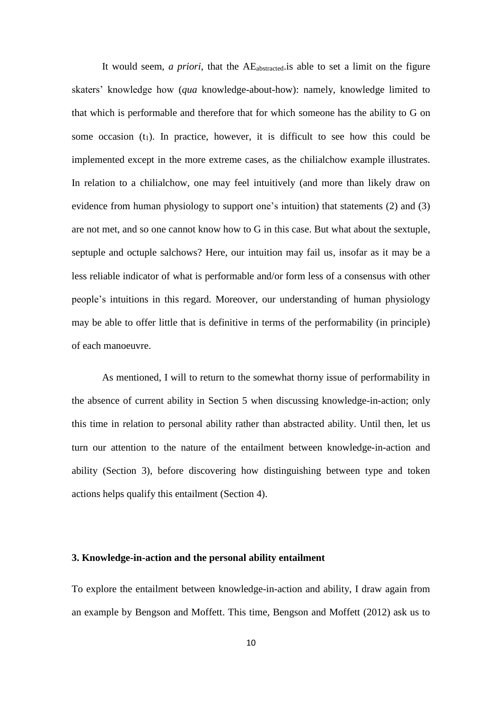It would seem, *a priori*, that the AEabstracted.is able to set a limit on the figure skaters' knowledge how (*qua* knowledge-about-how): namely, knowledge limited to that which is performable and therefore that for which someone has the ability to G on some occasion  $(t_1)$ . In practice, however, it is difficult to see how this could be implemented except in the more extreme cases, as the chilialchow example illustrates. In relation to a chilialchow, one may feel intuitively (and more than likely draw on evidence from human physiology to support one's intuition) that statements (2) and (3) are not met, and so one cannot know how to G in this case. But what about the sextuple, septuple and octuple salchows? Here, our intuition may fail us, insofar as it may be a less reliable indicator of what is performable and/or form less of a consensus with other people's intuitions in this regard. Moreover, our understanding of human physiology may be able to offer little that is definitive in terms of the performability (in principle) of each manoeuvre.

As mentioned, I will to return to the somewhat thorny issue of performability in the absence of current ability in Section 5 when discussing knowledge-in-action; only this time in relation to personal ability rather than abstracted ability. Until then, let us turn our attention to the nature of the entailment between knowledge-in-action and ability (Section 3), before discovering how distinguishing between type and token actions helps qualify this entailment (Section 4).

#### **3. Knowledge-in-action and the personal ability entailment**

To explore the entailment between knowledge-in-action and ability, I draw again from an example by Bengson and Moffett. This time, Bengson and Moffett (2012) ask us to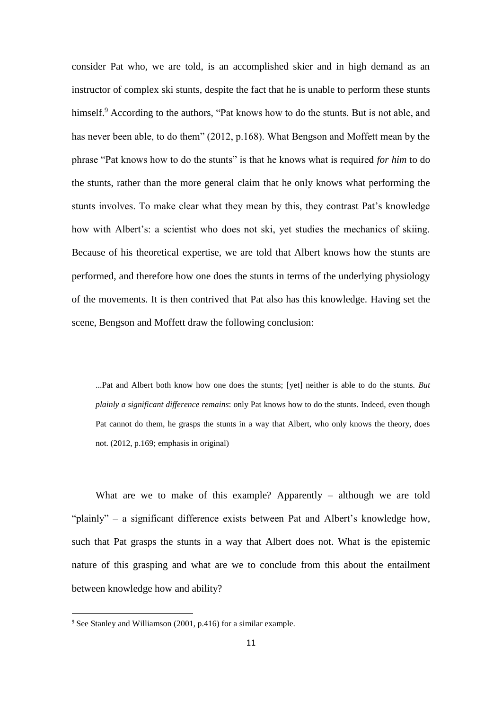consider Pat who, we are told, is an accomplished skier and in high demand as an instructor of complex ski stunts, despite the fact that he is unable to perform these stunts himself.<sup>9</sup> According to the authors, "Pat knows how to do the stunts. But is not able, and has never been able, to do them" (2012, p.168). What Bengson and Moffett mean by the phrase "Pat knows how to do the stunts" is that he knows what is required *for him* to do the stunts, rather than the more general claim that he only knows what performing the stunts involves. To make clear what they mean by this, they contrast Pat's knowledge how with Albert's: a scientist who does not ski, yet studies the mechanics of skiing. Because of his theoretical expertise, we are told that Albert knows how the stunts are performed, and therefore how one does the stunts in terms of the underlying physiology of the movements. It is then contrived that Pat also has this knowledge. Having set the scene, Bengson and Moffett draw the following conclusion:

...Pat and Albert both know how one does the stunts; [yet] neither is able to do the stunts. *But plainly a significant difference remains*: only Pat knows how to do the stunts. Indeed, even though Pat cannot do them, he grasps the stunts in a way that Albert, who only knows the theory, does not. (2012, p.169; emphasis in original)

What are we to make of this example? Apparently – although we are told "plainly" – a significant difference exists between Pat and Albert's knowledge how, such that Pat grasps the stunts in a way that Albert does not. What is the epistemic nature of this grasping and what are we to conclude from this about the entailment between knowledge how and ability?

**.** 

<sup>9</sup> See Stanley and Williamson (2001, p.416) for a similar example.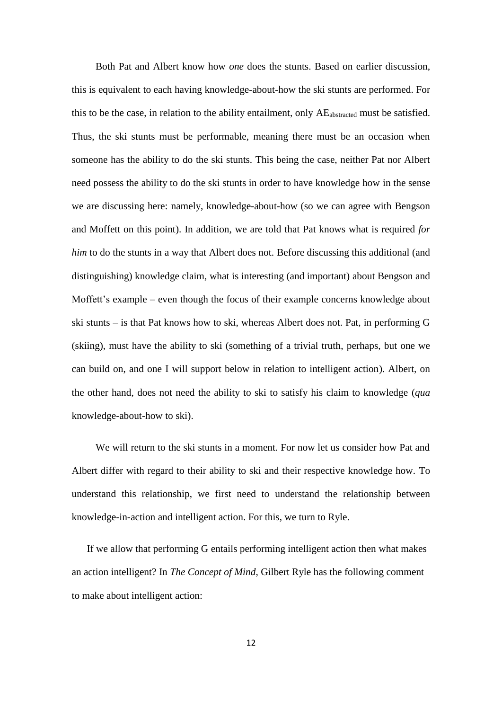Both Pat and Albert know how *one* does the stunts. Based on earlier discussion, this is equivalent to each having knowledge-about-how the ski stunts are performed. For this to be the case, in relation to the ability entailment, only  $AE<sub>abstracted</sub>$  must be satisfied. Thus, the ski stunts must be performable, meaning there must be an occasion when someone has the ability to do the ski stunts. This being the case, neither Pat nor Albert need possess the ability to do the ski stunts in order to have knowledge how in the sense we are discussing here: namely, knowledge-about-how (so we can agree with Bengson and Moffett on this point). In addition, we are told that Pat knows what is required *for him* to do the stunts in a way that Albert does not. Before discussing this additional (and distinguishing) knowledge claim, what is interesting (and important) about Bengson and Moffett's example – even though the focus of their example concerns knowledge about ski stunts – is that Pat knows how to ski, whereas Albert does not. Pat, in performing G (skiing), must have the ability to ski (something of a trivial truth, perhaps, but one we can build on, and one I will support below in relation to intelligent action). Albert, on the other hand, does not need the ability to ski to satisfy his claim to knowledge (*qua* knowledge-about-how to ski).

We will return to the ski stunts in a moment. For now let us consider how Pat and Albert differ with regard to their ability to ski and their respective knowledge how. To understand this relationship, we first need to understand the relationship between knowledge-in-action and intelligent action. For this, we turn to Ryle.

If we allow that performing G entails performing intelligent action then what makes an action intelligent? In *The Concept of Mind*, Gilbert Ryle has the following comment to make about intelligent action: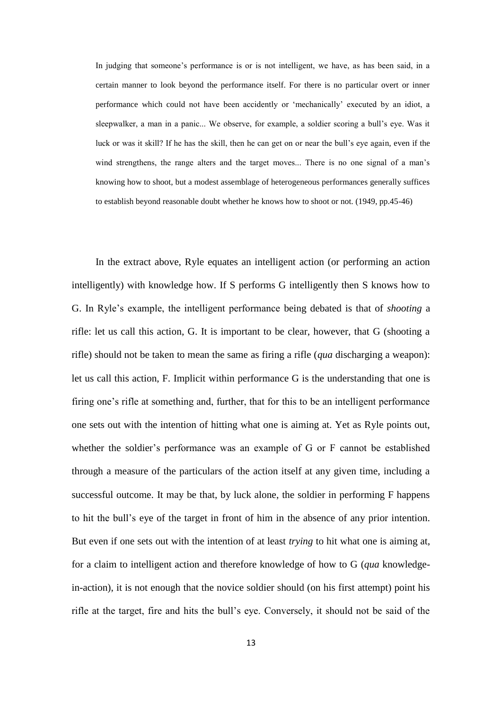In judging that someone's performance is or is not intelligent, we have, as has been said, in a certain manner to look beyond the performance itself. For there is no particular overt or inner performance which could not have been accidently or 'mechanically' executed by an idiot, a sleepwalker, a man in a panic... We observe, for example, a soldier scoring a bull's eye. Was it luck or was it skill? If he has the skill, then he can get on or near the bull's eye again, even if the wind strengthens, the range alters and the target moves... There is no one signal of a man's knowing how to shoot, but a modest assemblage of heterogeneous performances generally suffices to establish beyond reasonable doubt whether he knows how to shoot or not. (1949, pp.45-46)

In the extract above, Ryle equates an intelligent action (or performing an action intelligently) with knowledge how. If S performs G intelligently then S knows how to G. In Ryle's example, the intelligent performance being debated is that of *shooting* a rifle: let us call this action, G. It is important to be clear, however, that G (shooting a rifle) should not be taken to mean the same as firing a rifle (*qua* discharging a weapon): let us call this action, F. Implicit within performance G is the understanding that one is firing one's rifle at something and, further, that for this to be an intelligent performance one sets out with the intention of hitting what one is aiming at. Yet as Ryle points out, whether the soldier's performance was an example of G or F cannot be established through a measure of the particulars of the action itself at any given time, including a successful outcome. It may be that, by luck alone, the soldier in performing F happens to hit the bull's eye of the target in front of him in the absence of any prior intention. But even if one sets out with the intention of at least *trying* to hit what one is aiming at, for a claim to intelligent action and therefore knowledge of how to G (*qua* knowledgein-action), it is not enough that the novice soldier should (on his first attempt) point his rifle at the target, fire and hits the bull's eye. Conversely, it should not be said of the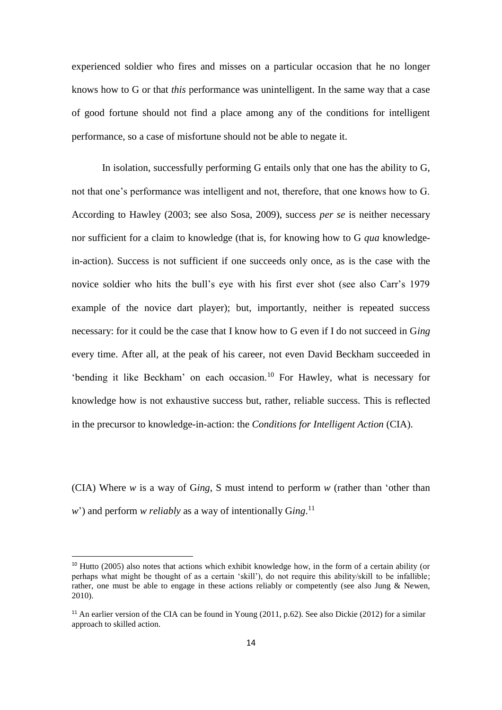experienced soldier who fires and misses on a particular occasion that he no longer knows how to G or that *this* performance was unintelligent. In the same way that a case of good fortune should not find a place among any of the conditions for intelligent performance, so a case of misfortune should not be able to negate it.

In isolation, successfully performing G entails only that one has the ability to G, not that one's performance was intelligent and not, therefore, that one knows how to G. According to Hawley (2003; see also Sosa, 2009), success *per se* is neither necessary nor sufficient for a claim to knowledge (that is, for knowing how to G *qua* knowledgein-action). Success is not sufficient if one succeeds only once, as is the case with the novice soldier who hits the bull's eye with his first ever shot (see also Carr's 1979 example of the novice dart player); but, importantly, neither is repeated success necessary: for it could be the case that I know how to G even if I do not succeed in G*ing* every time. After all, at the peak of his career, not even David Beckham succeeded in 'bending it like Beckham' on each occasion.<sup>10</sup> For Hawley, what is necessary for knowledge how is not exhaustive success but, rather, reliable success. This is reflected in the precursor to knowledge-in-action: the *Conditions for Intelligent Action* (CIA).

(CIA) Where *w* is a way of G*ing*, S must intend to perform *w* (rather than 'other than *w*') and perform *w reliably* as a way of intentionally G*ing*. 11

**.** 

<sup>&</sup>lt;sup>10</sup> Hutto (2005) also notes that actions which exhibit knowledge how, in the form of a certain ability (or perhaps what might be thought of as a certain 'skill'), do not require this ability/skill to be infallible; rather, one must be able to engage in these actions reliably or competently (see also Jung & Newen, 2010).

<sup>&</sup>lt;sup>11</sup> An earlier version of the CIA can be found in Young (2011, p.62). See also Dickie (2012) for a similar approach to skilled action.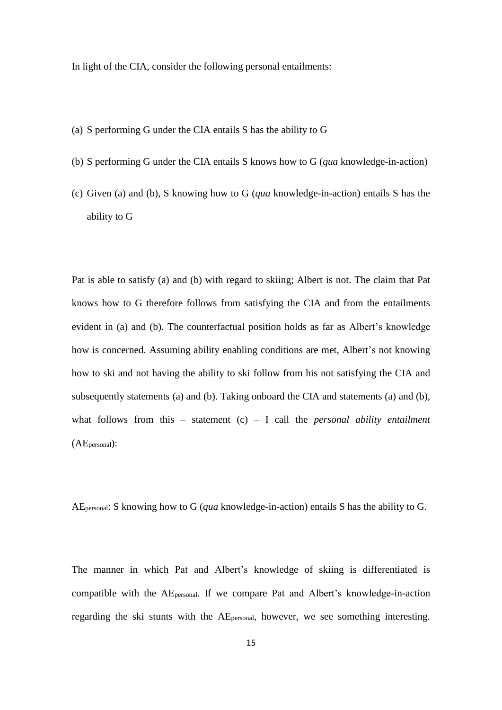In light of the CIA, consider the following personal entailments:

- (a) S performing G under the CIA entails S has the ability to G
- (b) S performing G under the CIA entails S knows how to G (*qua* knowledge-in-action)
- (c) Given (a) and (b), S knowing how to G (*qua* knowledge-in-action) entails S has the ability to G

Pat is able to satisfy (a) and (b) with regard to skiing; Albert is not. The claim that Pat knows how to G therefore follows from satisfying the CIA and from the entailments evident in (a) and (b). The counterfactual position holds as far as Albert's knowledge how is concerned. Assuming ability enabling conditions are met, Albert's not knowing how to ski and not having the ability to ski follow from his not satisfying the CIA and subsequently statements (a) and (b). Taking onboard the CIA and statements (a) and (b), what follows from this – statement (c) – I call the *personal ability entailment* (AEpersonal):

AEpersonal: S knowing how to G (*qua* knowledge-in-action) entails S has the ability to G.

The manner in which Pat and Albert's knowledge of skiing is differentiated is compatible with the AEpersonal. If we compare Pat and Albert's knowledge-in-action regarding the ski stunts with the AEpersonal, however, we see something interesting.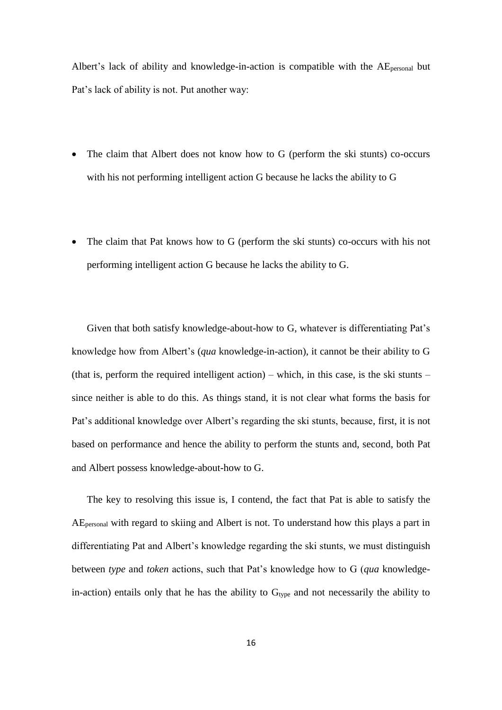Albert's lack of ability and knowledge-in-action is compatible with the AEpersonal but Pat's lack of ability is not. Put another way:

- The claim that Albert does not know how to G (perform the ski stunts) co-occurs with his not performing intelligent action G because he lacks the ability to G
- The claim that Pat knows how to G (perform the ski stunts) co-occurs with his not performing intelligent action G because he lacks the ability to G.

Given that both satisfy knowledge-about-how to G, whatever is differentiating Pat's knowledge how from Albert's (*qua* knowledge-in-action), it cannot be their ability to G (that is, perform the required intelligent action) – which, in this case, is the ski stunts – since neither is able to do this. As things stand, it is not clear what forms the basis for Pat's additional knowledge over Albert's regarding the ski stunts, because, first, it is not based on performance and hence the ability to perform the stunts and, second, both Pat and Albert possess knowledge-about-how to G.

The key to resolving this issue is, I contend, the fact that Pat is able to satisfy the AEpersonal with regard to skiing and Albert is not. To understand how this plays a part in differentiating Pat and Albert's knowledge regarding the ski stunts, we must distinguish between *type* and *token* actions, such that Pat's knowledge how to G (*qua* knowledgein-action) entails only that he has the ability to  $G_{type}$  and not necessarily the ability to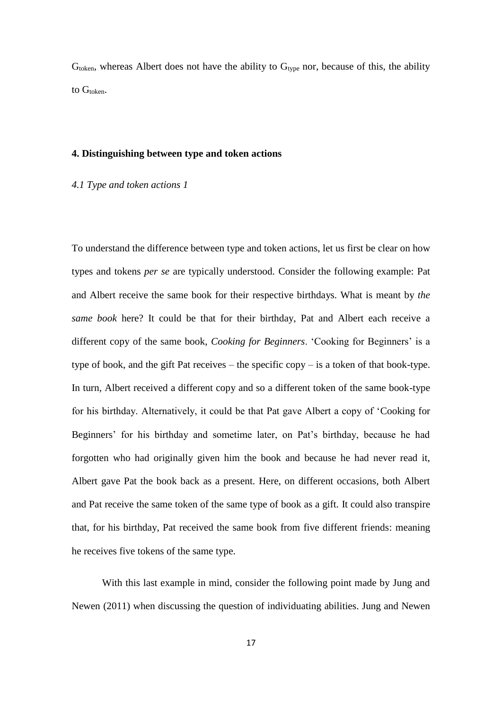$G<sub>token</sub>$ , whereas Albert does not have the ability to  $G<sub>type</sub>$  nor, because of this, the ability to G<sub>token</sub>.

#### **4. Distinguishing between type and token actions**

## *4.1 Type and token actions 1*

To understand the difference between type and token actions, let us first be clear on how types and tokens *per se* are typically understood. Consider the following example: Pat and Albert receive the same book for their respective birthdays. What is meant by *the same book* here? It could be that for their birthday, Pat and Albert each receive a different copy of the same book, *Cooking for Beginners*. 'Cooking for Beginners' is a type of book, and the gift Pat receives – the specific copy – is a token of that book-type. In turn, Albert received a different copy and so a different token of the same book-type for his birthday. Alternatively, it could be that Pat gave Albert a copy of 'Cooking for Beginners' for his birthday and sometime later, on Pat's birthday, because he had forgotten who had originally given him the book and because he had never read it, Albert gave Pat the book back as a present. Here, on different occasions, both Albert and Pat receive the same token of the same type of book as a gift. It could also transpire that, for his birthday, Pat received the same book from five different friends: meaning he receives five tokens of the same type.

With this last example in mind, consider the following point made by Jung and Newen (2011) when discussing the question of individuating abilities. Jung and Newen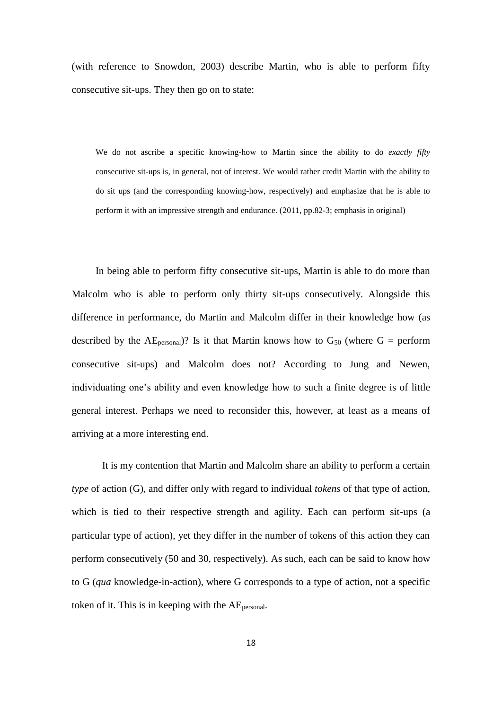(with reference to Snowdon, 2003) describe Martin, who is able to perform fifty consecutive sit-ups. They then go on to state:

We do not ascribe a specific knowing-how to Martin since the ability to do *exactly fifty* consecutive sit-ups is, in general, not of interest. We would rather credit Martin with the ability to do sit ups (and the corresponding knowing-how, respectively) and emphasize that he is able to perform it with an impressive strength and endurance. (2011, pp.82-3; emphasis in original)

In being able to perform fifty consecutive sit-ups, Martin is able to do more than Malcolm who is able to perform only thirty sit-ups consecutively. Alongside this difference in performance, do Martin and Malcolm differ in their knowledge how (as described by the AE<sub>personal</sub>)? Is it that Martin knows how to  $G_{50}$  (where  $G =$  perform consecutive sit-ups) and Malcolm does not? According to Jung and Newen, individuating one's ability and even knowledge how to such a finite degree is of little general interest. Perhaps we need to reconsider this, however, at least as a means of arriving at a more interesting end.

It is my contention that Martin and Malcolm share an ability to perform a certain *type* of action (G), and differ only with regard to individual *tokens* of that type of action, which is tied to their respective strength and agility. Each can perform sit-ups (a particular type of action), yet they differ in the number of tokens of this action they can perform consecutively (50 and 30, respectively). As such, each can be said to know how to G (*qua* knowledge-in-action), where G corresponds to a type of action, not a specific token of it. This is in keeping with the AEpersonal.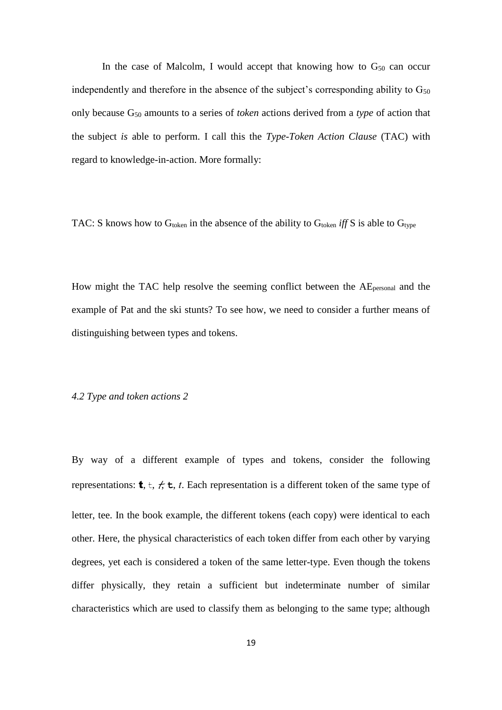In the case of Malcolm, I would accept that knowing how to  $G_{50}$  can occur independently and therefore in the absence of the subject's corresponding ability to  $G_{50}$ only because G<sup>50</sup> amounts to a series of *token* actions derived from a *type* of action that the subject *is* able to perform. I call this the *Type-Token Action Clause* (TAC) with regard to knowledge-in-action. More formally:

TAC: S knows how to G<sub>token</sub> in the absence of the ability to G<sub>token</sub> iff S is able to G<sub>type</sub>

How might the TAC help resolve the seeming conflict between the AEpersonal and the example of Pat and the ski stunts? To see how, we need to consider a further means of distinguishing between types and tokens.

## *4.2 Type and token actions 2*

By way of a different example of types and tokens, consider the following representations:  $\mathbf{t}, \mathbf{t}, \mathbf{t}, \mathbf{t}$ ,  $\mathbf{t}$ ,  $\mathbf{t}$ . Each representation is a different token of the same type of letter, tee. In the book example, the different tokens (each copy) were identical to each other. Here, the physical characteristics of each token differ from each other by varying degrees, yet each is considered a token of the same letter-type. Even though the tokens differ physically, they retain a sufficient but indeterminate number of similar characteristics which are used to classify them as belonging to the same type; although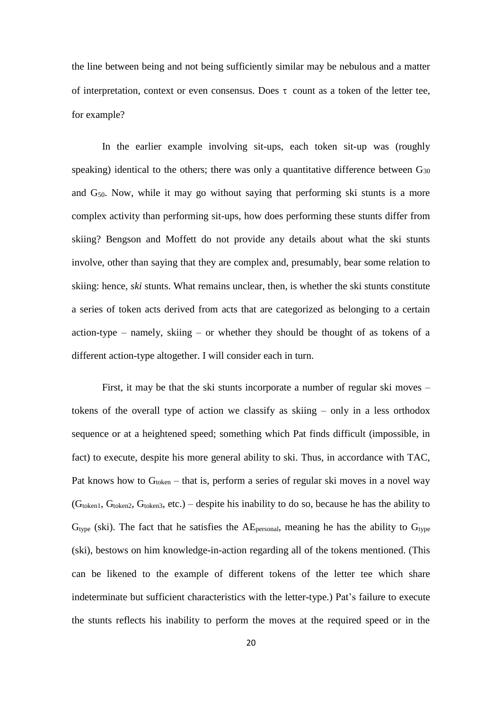the line between being and not being sufficiently similar may be nebulous and a matter of interpretation, context or even consensus. Does  $\tau$  count as a token of the letter tee, for example?

In the earlier example involving sit-ups, each token sit-up was (roughly speaking) identical to the others; there was only a quantitative difference between  $G_{30}$ and G50. Now, while it may go without saying that performing ski stunts is a more complex activity than performing sit-ups, how does performing these stunts differ from skiing? Bengson and Moffett do not provide any details about what the ski stunts involve, other than saying that they are complex and, presumably, bear some relation to skiing: hence, *ski* stunts. What remains unclear, then, is whether the ski stunts constitute a series of token acts derived from acts that are categorized as belonging to a certain action-type – namely, skiing – or whether they should be thought of as tokens of a different action-type altogether. I will consider each in turn.

First, it may be that the ski stunts incorporate a number of regular ski moves – tokens of the overall type of action we classify as skiing – only in a less orthodox sequence or at a heightened speed; something which Pat finds difficult (impossible, in fact) to execute, despite his more general ability to ski. Thus, in accordance with TAC, Pat knows how to  $G_{\text{token}}$  – that is, perform a series of regular ski moves in a novel way  $(G_{token1}, G_{token2}, G_{token3}, etc.)$  – despite his inability to do so, because he has the ability to  $G_{\text{type}}$  (ski). The fact that he satisfies the AE<sub>personal</sub>, meaning he has the ability to  $G_{\text{type}}$ (ski), bestows on him knowledge-in-action regarding all of the tokens mentioned. (This can be likened to the example of different tokens of the letter tee which share indeterminate but sufficient characteristics with the letter-type.) Pat's failure to execute the stunts reflects his inability to perform the moves at the required speed or in the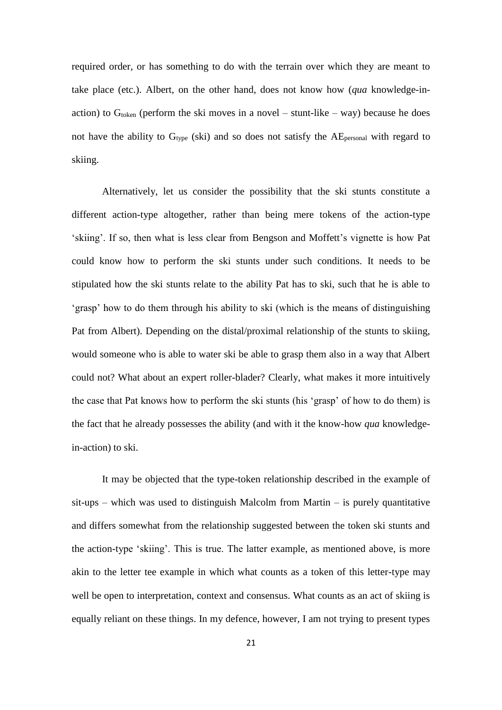required order, or has something to do with the terrain over which they are meant to take place (etc.). Albert, on the other hand, does not know how (*qua* knowledge-inaction) to  $G_{\text{token}}$  (perform the ski moves in a novel – stunt-like – way) because he does not have the ability to  $G_{type}$  (ski) and so does not satisfy the  $AE_{personal}$  with regard to skiing.

Alternatively, let us consider the possibility that the ski stunts constitute a different action-type altogether, rather than being mere tokens of the action-type 'skiing'. If so, then what is less clear from Bengson and Moffett's vignette is how Pat could know how to perform the ski stunts under such conditions. It needs to be stipulated how the ski stunts relate to the ability Pat has to ski, such that he is able to 'grasp' how to do them through his ability to ski (which is the means of distinguishing Pat from Albert). Depending on the distal/proximal relationship of the stunts to skiing, would someone who is able to water ski be able to grasp them also in a way that Albert could not? What about an expert roller-blader? Clearly, what makes it more intuitively the case that Pat knows how to perform the ski stunts (his 'grasp' of how to do them) is the fact that he already possesses the ability (and with it the know-how *qua* knowledgein-action) to ski.

It may be objected that the type-token relationship described in the example of  $s$ it-ups – which was used to distinguish Malcolm from Martin – is purely quantitative and differs somewhat from the relationship suggested between the token ski stunts and the action-type 'skiing'. This is true. The latter example, as mentioned above, is more akin to the letter tee example in which what counts as a token of this letter-type may well be open to interpretation, context and consensus. What counts as an act of skiing is equally reliant on these things. In my defence, however, I am not trying to present types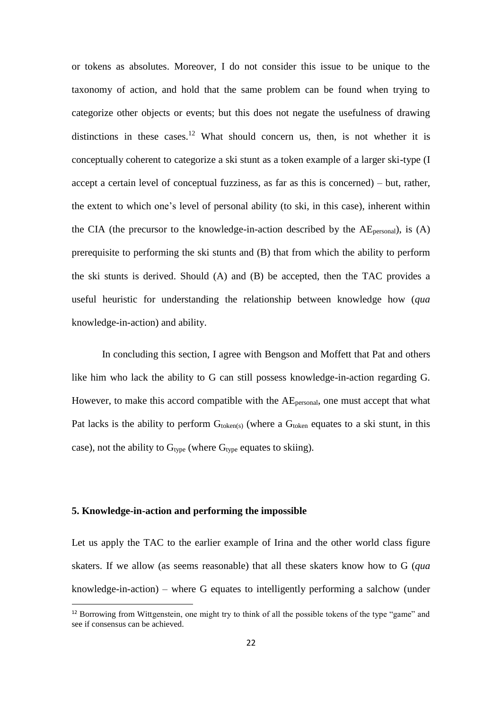or tokens as absolutes. Moreover, I do not consider this issue to be unique to the taxonomy of action, and hold that the same problem can be found when trying to categorize other objects or events; but this does not negate the usefulness of drawing distinctions in these cases.<sup>12</sup> What should concern us, then, is not whether it is conceptually coherent to categorize a ski stunt as a token example of a larger ski-type (I accept a certain level of conceptual fuzziness, as far as this is concerned) – but, rather, the extent to which one's level of personal ability (to ski, in this case), inherent within the CIA (the precursor to the knowledge-in-action described by the  $AE_{\text{personal}}$ ), is (A) prerequisite to performing the ski stunts and (B) that from which the ability to perform the ski stunts is derived. Should (A) and (B) be accepted, then the TAC provides a useful heuristic for understanding the relationship between knowledge how (*qua* knowledge-in-action) and ability.

In concluding this section, I agree with Bengson and Moffett that Pat and others like him who lack the ability to G can still possess knowledge-in-action regarding G. However, to make this accord compatible with the AE<sub>personal</sub>, one must accept that what Pat lacks is the ability to perform  $G_{token(s)}$  (where a  $G_{token}$  equates to a ski stunt, in this case), not the ability to  $G_{\text{type}}$  (where  $G_{\text{type}}$  equates to skiing).

## **5. Knowledge-in-action and performing the impossible**

1

Let us apply the TAC to the earlier example of Irina and the other world class figure skaters. If we allow (as seems reasonable) that all these skaters know how to G (*qua* knowledge-in-action) – where G equates to intelligently performing a salchow (under

<sup>&</sup>lt;sup>12</sup> Borrowing from Wittgenstein, one might try to think of all the possible tokens of the type "game" and see if consensus can be achieved.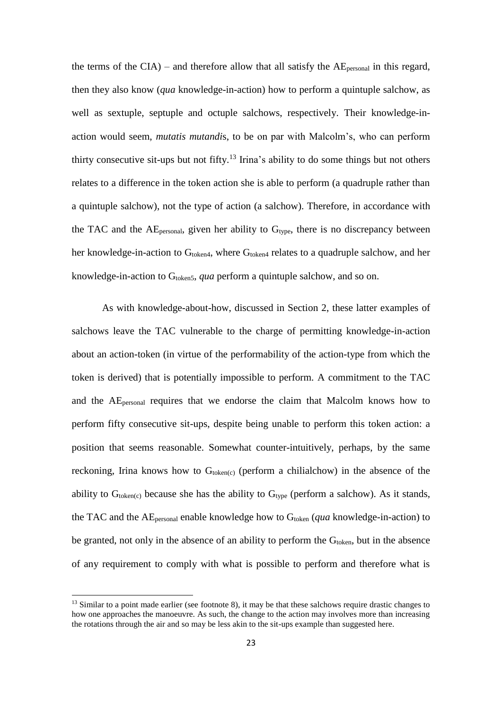the terms of the  $CIA$ ) – and therefore allow that all satisfy the  $AE_{personal}$  in this regard, then they also know (*qua* knowledge-in-action) how to perform a quintuple salchow, as well as sextuple, septuple and octuple salchows, respectively. Their knowledge-inaction would seem, *mutatis mutandi*s, to be on par with Malcolm's, who can perform thirty consecutive sit-ups but not fifty.<sup>13</sup> Irina's ability to do some things but not others relates to a difference in the token action she is able to perform (a quadruple rather than a quintuple salchow), not the type of action (a salchow). Therefore, in accordance with the TAC and the  $AE_{personal}$ , given her ability to  $G_{type}$ , there is no discrepancy between her knowledge-in-action to  $G_{\text{token4}}$ , where  $G_{\text{token4}}$  relates to a quadruple salchow, and her knowledge-in-action to G<sub>token5</sub>, *qua* perform a quintuple salchow, and so on.

As with knowledge-about-how, discussed in Section 2, these latter examples of salchows leave the TAC vulnerable to the charge of permitting knowledge-in-action about an action-token (in virtue of the performability of the action-type from which the token is derived) that is potentially impossible to perform. A commitment to the TAC and the AEpersonal requires that we endorse the claim that Malcolm knows how to perform fifty consecutive sit-ups, despite being unable to perform this token action: a position that seems reasonable. Somewhat counter-intuitively, perhaps, by the same reckoning, Irina knows how to  $G_{\text{token}(c)}$  (perform a chilialchow) in the absence of the ability to  $G_{\text{token}(c)}$  because she has the ability to  $G_{\text{type}}$  (perform a salchow). As it stands, the TAC and the AEpersonal enable knowledge how to Gtoken (*qua* knowledge-in-action) to be granted, not only in the absence of an ability to perform the  $G<sub>token</sub>$ , but in the absence of any requirement to comply with what is possible to perform and therefore what is

 $\overline{a}$ 

<sup>&</sup>lt;sup>13</sup> Similar to a point made earlier (see footnote 8), it may be that these salchows require drastic changes to how one approaches the manoeuvre. As such, the change to the action may involves more than increasing the rotations through the air and so may be less akin to the sit-ups example than suggested here.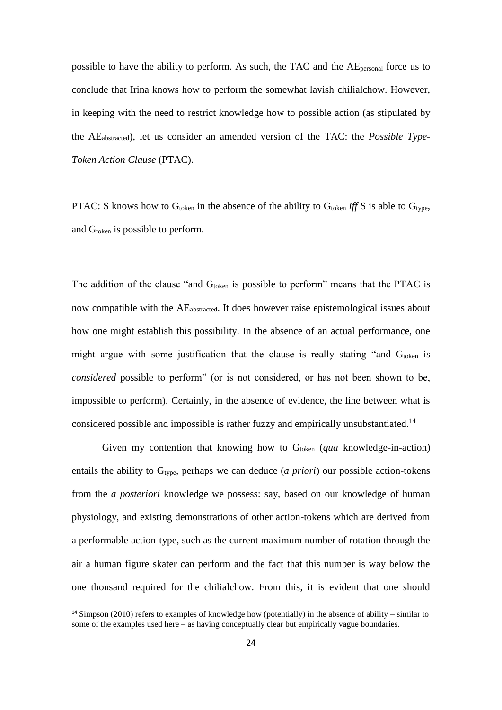possible to have the ability to perform. As such, the TAC and the AEpersonal force us to conclude that Irina knows how to perform the somewhat lavish chilialchow. However, in keeping with the need to restrict knowledge how to possible action (as stipulated by the AEabstracted), let us consider an amended version of the TAC: the *Possible Type-Token Action Clause* (PTAC).

PTAC: S knows how to G<sub>token</sub> in the absence of the ability to G<sub>token</sub> *iff* S is able to G<sub>type</sub>, and G<sub>token</sub> is possible to perform.

The addition of the clause "and  $G_{\text{token}}$  is possible to perform" means that the PTAC is now compatible with the AEabstracted. It does however raise epistemological issues about how one might establish this possibility. In the absence of an actual performance, one might argue with some justification that the clause is really stating "and  $G_{\text{token}}$  is *considered* possible to perform" (or is not considered, or has not been shown to be, impossible to perform). Certainly, in the absence of evidence, the line between what is considered possible and impossible is rather fuzzy and empirically unsubstantiated.<sup>14</sup>

Given my contention that knowing how to  $G<sub>to</sub>$  (*qua* knowledge-in-action) entails the ability to G<sub>type</sub>, perhaps we can deduce (*a priori*) our possible action-tokens from the *a posteriori* knowledge we possess: say, based on our knowledge of human physiology, and existing demonstrations of other action-tokens which are derived from a performable action-type, such as the current maximum number of rotation through the air a human figure skater can perform and the fact that this number is way below the one thousand required for the chilialchow. From this, it is evident that one should

1

<sup>&</sup>lt;sup>14</sup> Simpson (2010) refers to examples of knowledge how (potentially) in the absence of ability – similar to some of the examples used here – as having conceptually clear but empirically vague boundaries.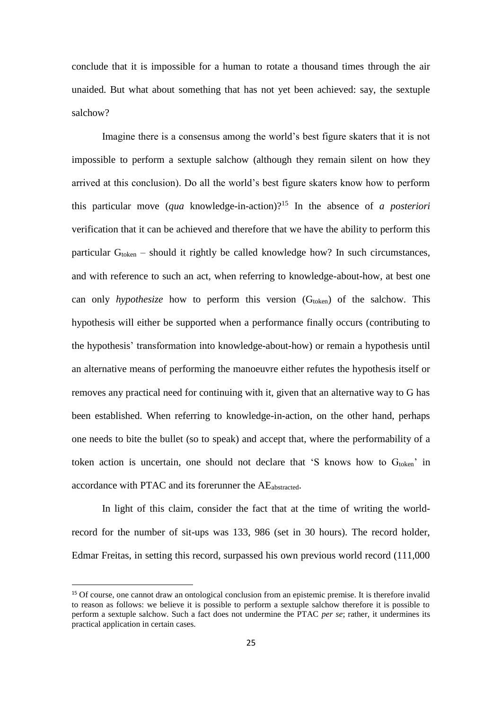conclude that it is impossible for a human to rotate a thousand times through the air unaided. But what about something that has not yet been achieved: say, the sextuple salchow?

Imagine there is a consensus among the world's best figure skaters that it is not impossible to perform a sextuple salchow (although they remain silent on how they arrived at this conclusion). Do all the world's best figure skaters know how to perform this particular move (*qua* knowledge-in-action)? <sup>15</sup> In the absence of *a posteriori* verification that it can be achieved and therefore that we have the ability to perform this particular  $G_{\text{token}}$  – should it rightly be called knowledge how? In such circumstances, and with reference to such an act, when referring to knowledge-about-how, at best one can only *hypothesize* how to perform this version  $(G<sub>token</sub>)$  of the salchow. This hypothesis will either be supported when a performance finally occurs (contributing to the hypothesis' transformation into knowledge-about-how) or remain a hypothesis until an alternative means of performing the manoeuvre either refutes the hypothesis itself or removes any practical need for continuing with it, given that an alternative way to G has been established. When referring to knowledge-in-action, on the other hand, perhaps one needs to bite the bullet (so to speak) and accept that, where the performability of a token action is uncertain, one should not declare that  $'S$  knows how to  $G<sub>token</sub>$  in accordance with PTAC and its forerunner the AEabstracted.

In light of this claim, consider the fact that at the time of writing the worldrecord for the number of sit-ups was 133, 986 (set in 30 hours). The record holder, Edmar Freitas, in setting this record, surpassed his own previous world record (111,000

**.** 

<sup>&</sup>lt;sup>15</sup> Of course, one cannot draw an ontological conclusion from an epistemic premise. It is therefore invalid to reason as follows: we believe it is possible to perform a sextuple salchow therefore it is possible to perform a sextuple salchow. Such a fact does not undermine the PTAC *per se*; rather, it undermines its practical application in certain cases.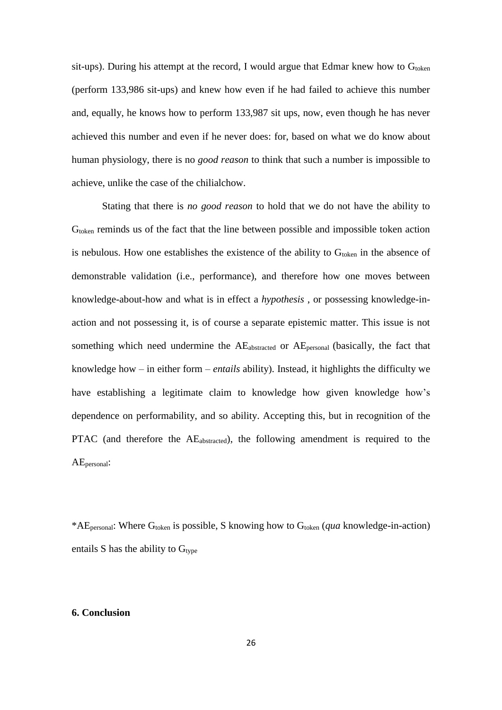sit-ups). During his attempt at the record, I would argue that Edmar knew how to  $G_{\text{token}}$ (perform 133,986 sit-ups) and knew how even if he had failed to achieve this number and, equally, he knows how to perform 133,987 sit ups, now, even though he has never achieved this number and even if he never does: for, based on what we do know about human physiology, there is no *good reason* to think that such a number is impossible to achieve, unlike the case of the chilialchow.

Stating that there is *no good reason* to hold that we do not have the ability to  $G<sub>token</sub>$  reminds us of the fact that the line between possible and impossible token action is nebulous. How one establishes the existence of the ability to  $G_{\text{token}}$  in the absence of demonstrable validation (i.e., performance), and therefore how one moves between knowledge-about-how and what is in effect a *hypothesis* , or possessing knowledge-inaction and not possessing it, is of course a separate epistemic matter. This issue is not something which need undermine the AE<sub>abstracted</sub> or AE<sub>personal</sub> (basically, the fact that knowledge how – in either form – *entails* ability). Instead, it highlights the difficulty we have establishing a legitimate claim to knowledge how given knowledge how's dependence on performability, and so ability. Accepting this, but in recognition of the PTAC (and therefore the AEabstracted), the following amendment is required to the AEpersonal:

\*AEpersonal: Where Gtoken is possible, S knowing how to Gtoken (*qua* knowledge-in-action) entails S has the ability to  $G_{type}$ 

## **6. Conclusion**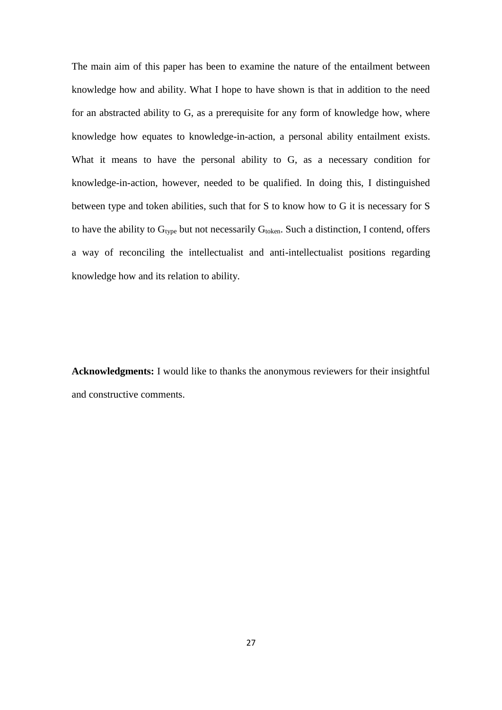The main aim of this paper has been to examine the nature of the entailment between knowledge how and ability. What I hope to have shown is that in addition to the need for an abstracted ability to G, as a prerequisite for any form of knowledge how, where knowledge how equates to knowledge-in-action, a personal ability entailment exists. What it means to have the personal ability to G, as a necessary condition for knowledge-in-action, however, needed to be qualified. In doing this, I distinguished between type and token abilities, such that for S to know how to G it is necessary for S to have the ability to  $G_{type}$  but not necessarily  $G_{token}$ . Such a distinction, I contend, offers a way of reconciling the intellectualist and anti-intellectualist positions regarding knowledge how and its relation to ability.

**Acknowledgments:** I would like to thanks the anonymous reviewers for their insightful and constructive comments.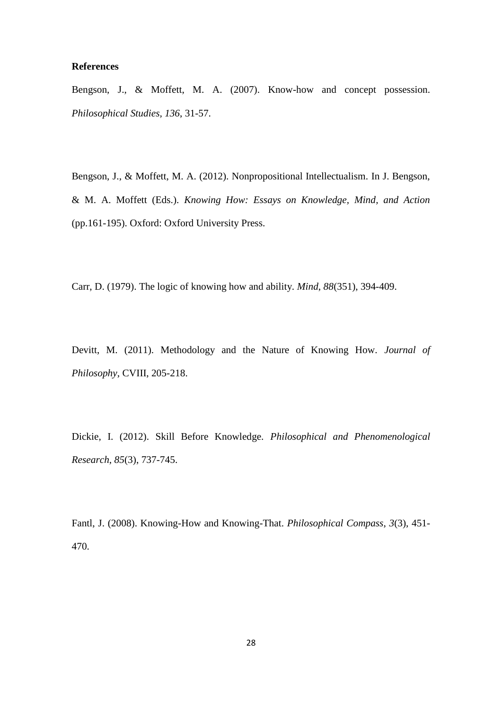## **References**

Bengson, J., & Moffett, M. A. (2007). Know-how and concept possession. *Philosophical Studies, 136*, 31-57.

Bengson, J., & Moffett, M. A. (2012). Nonpropositional Intellectualism. In J. Bengson, & M. A. Moffett (Eds.). *Knowing How: Essays on Knowledge, Mind, and Action* (pp.161-195). Oxford: Oxford University Press.

Carr, D. (1979). The logic of knowing how and ability. *Mind*, *88*(351), 394-409.

Devitt, M. (2011). Methodology and the Nature of Knowing How. *Journal of Philosophy*, CVIII, 205-218.

Dickie, I. (2012). Skill Before Knowledge. *Philosophical and Phenomenological Research*, *85*(3), 737-745.

Fantl, J. (2008). Knowing-How and Knowing-That. *Philosophical Compass*, *3*(3), 451- 470.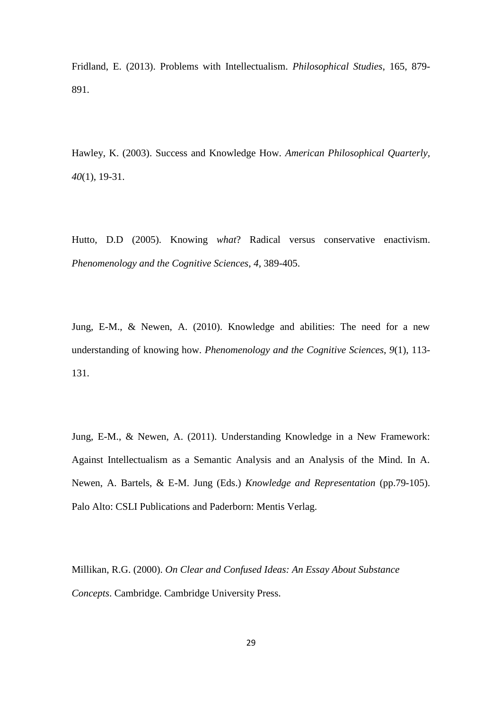Fridland, E. (2013). Problems with Intellectualism. *Philosophical Studies*, 165, 879- 891.

Hawley, K. (2003). Success and Knowledge How. *American Philosophical Quarterly, 40*(1), 19-31.

Hutto, D.D (2005). Knowing *what*? Radical versus conservative enactivism. *Phenomenology and the Cognitive Sciences*, *4*, 389-405.

Jung, E-M., & Newen, A. (2010). Knowledge and abilities: The need for a new understanding of knowing how. *Phenomenology and the Cognitive Sciences*, *9*(1), 113- 131.

Jung, E-M., & Newen, A. (2011). Understanding Knowledge in a New Framework: Against Intellectualism as a Semantic Analysis and an Analysis of the Mind. In A. Newen, A. Bartels, & E-M. Jung (Eds.) *Knowledge and Representation* (pp.79-105). Palo Alto: CSLI Publications and Paderborn: Mentis Verlag.

Millikan, R.G. (2000). *On Clear and Confused Ideas: An Essay About Substance Concepts*. Cambridge. Cambridge University Press.